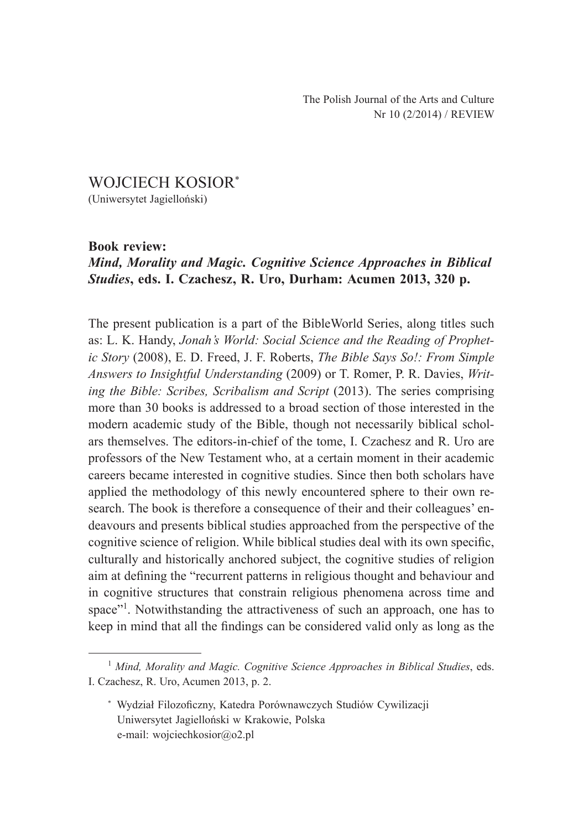## WOJCIECH KOSIOR\* (Uniwersytet Jagielloński)

## **Book review:**

## *Mind, Morality and Magic. Cognitive Science Approaches in Biblical Studies***, eds. I. Czachesz, R. Uro, Durham: Acumen 2013, 320 p.**

The present publication is a part of the BibleWorld Series, along titles such as: L. K. Handy, *Jonah's World: Social Science and the Reading of Prophetic Story* (2008), E. D. Freed, J. F. Roberts, *The Bible Says So!: From Simple Answers to Insightful Understanding* (2009) or T. Romer, P. R. Davies, *Writing the Bible: Scribes, Scribalism and Script* (2013). The series comprising more than 30 books is addressed to a broad section of those interested in the modern academic study of the Bible, though not necessarily biblical scholars themselves. The editors-in-chief of the tome, I. Czachesz and R. Uro are professors of the New Testament who, at a certain moment in their academic careers became interested in cognitive studies. Since then both scholars have applied the methodology of this newly encountered sphere to their own research. The book is therefore a consequence of their and their colleagues' endeavours and presents biblical studies approached from the perspective of the cognitive science of religion. While biblical studies deal with its own specific, culturally and historically anchored subject, the cognitive studies of religion aim at defining the "recurrent patterns in religious thought and behaviour and in cognitive structures that constrain religious phenomena across time and space"<sup>1</sup>. Notwithstanding the attractiveness of such an approach, one has to keep in mind that all the findings can be considered valid only as long as the

<sup>1</sup> *Mind, Morality and Magic. Cognitive Science Approaches in Biblical Studies*, eds. I. Czachesz, R. Uro, Acumen 2013, p. 2.

<sup>\*</sup> Wydział Filozoficzny, Katedra Porównawczych Studiów Cywilizacji Uniwersytet Jagielloński w Krakowie, Polska e-mail: wojciechkosior@o2.pl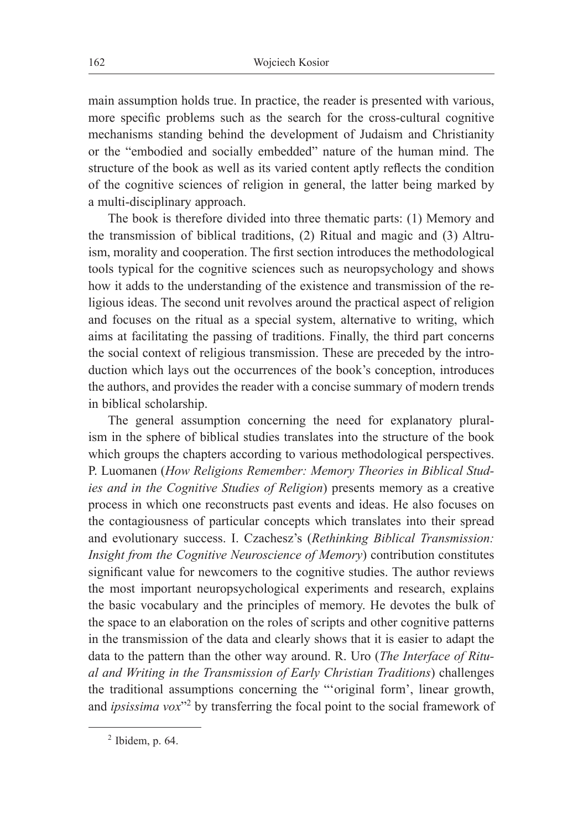main assumption holds true. In practice, the reader is presented with various, more specific problems such as the search for the cross-cultural cognitive mechanisms standing behind the development of Judaism and Christianity or the "embodied and socially embedded" nature of the human mind. The structure of the book as well as its varied content aptly reflects the condition of the cognitive sciences of religion in general, the latter being marked by a multi-disciplinary approach.

The book is therefore divided into three thematic parts: (1) Memory and the transmission of biblical traditions, (2) Ritual and magic and (3) Altruism, morality and cooperation. The first section introduces the methodological tools typical for the cognitive sciences such as neuropsychology and shows how it adds to the understanding of the existence and transmission of the religious ideas. The second unit revolves around the practical aspect of religion and focuses on the ritual as a special system, alternative to writing, which aims at facilitating the passing of traditions. Finally, the third part concerns the social context of religious transmission. These are preceded by the introduction which lays out the occurrences of the book's conception, introduces the authors, and provides the reader with a concise summary of modern trends in biblical scholarship.

The general assumption concerning the need for explanatory pluralism in the sphere of biblical studies translates into the structure of the book which groups the chapters according to various methodological perspectives. P. Luomanen (*How Religions Remember: Memory Theories in Biblical Studies and in the Cognitive Studies of Religion*) presents memory as a creative process in which one reconstructs past events and ideas. He also focuses on the contagiousness of particular concepts which translates into their spread and evolutionary success. I. Czachesz's (*Rethinking Biblical Transmission: Insight from the Cognitive Neuroscience of Memory*) contribution constitutes significant value for newcomers to the cognitive studies. The author reviews the most important neuropsychological experiments and research, explains the basic vocabulary and the principles of memory. He devotes the bulk of the space to an elaboration on the roles of scripts and other cognitive patterns in the transmission of the data and clearly shows that it is easier to adapt the data to the pattern than the other way around. R. Uro (*The Interface of Ritual and Writing in the Transmission of Early Christian Traditions*) challenges the traditional assumptions concerning the "'original form', linear growth, and *ipsissima vox*<sup>32</sup> by transferring the focal point to the social framework of

 $2$  Ibidem, p. 64.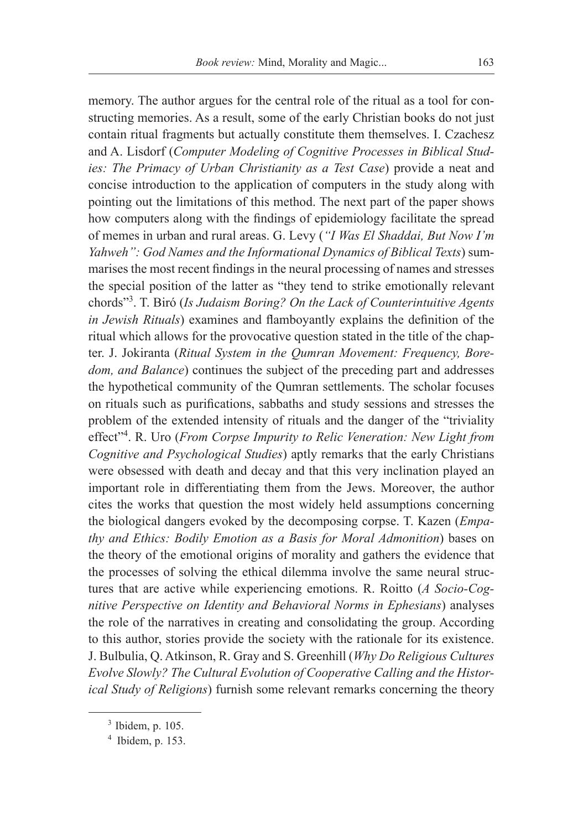memory. The author argues for the central role of the ritual as a tool for constructing memories. As a result, some of the early Christian books do not just contain ritual fragments but actually constitute them themselves. I. Czachesz and A. Lisdorf (*Computer Modeling of Cognitive Processes in Biblical Studies: The Primacy of Urban Christianity as a Test Case*) provide a neat and concise introduction to the application of computers in the study along with pointing out the limitations of this method. The next part of the paper shows how computers along with the findings of epidemiology facilitate the spread of memes in urban and rural areas. G. Levy (*"I Was El Shaddai, But Now I'm Yahweh": God Names and the Informational Dynamics of Biblical Texts*) summarises the most recent findings in the neural processing of names and stresses the special position of the latter as "they tend to strike emotionally relevant chords"3 . T. Biró (*Is Judaism Boring? On the Lack of Counterintuitive Agents in Jewish Rituals*) examines and flamboyantly explains the definition of the ritual which allows for the provocative question stated in the title of the chapter. J. Jokiranta (*Ritual System in the Qumran Movement: Frequency, Boredom, and Balance*) continues the subject of the preceding part and addresses the hypothetical community of the Qumran settlements. The scholar focuses on rituals such as purifications, sabbaths and study sessions and stresses the problem of the extended intensity of rituals and the danger of the "triviality effect<sup>24</sup>. R. Uro (*From Corpse Impurity to Relic Veneration: New Light from Cognitive and Psychological Studies*) aptly remarks that the early Christians were obsessed with death and decay and that this very inclination played an important role in differentiating them from the Jews. Moreover, the author cites the works that question the most widely held assumptions concerning the biological dangers evoked by the decomposing corpse. T. Kazen (*Empathy and Ethics: Bodily Emotion as a Basis for Moral Admonition*) bases on the theory of the emotional origins of morality and gathers the evidence that the processes of solving the ethical dilemma involve the same neural structures that are active while experiencing emotions. R. Roitto (*A Socio-Cognitive Perspective on Identity and Behavioral Norms in Ephesians*) analyses the role of the narratives in creating and consolidating the group. According to this author, stories provide the society with the rationale for its existence. J. Bulbulia, Q. Atkinson, R. Gray and S. Greenhill (*Why Do Religious Cultures Evolve Slowly? The Cultural Evolution of Cooperative Calling and the Historical Study of Religions*) furnish some relevant remarks concerning the theory

<sup>3</sup> Ibidem, p. 105.

<sup>4</sup> Ibidem, p. 153.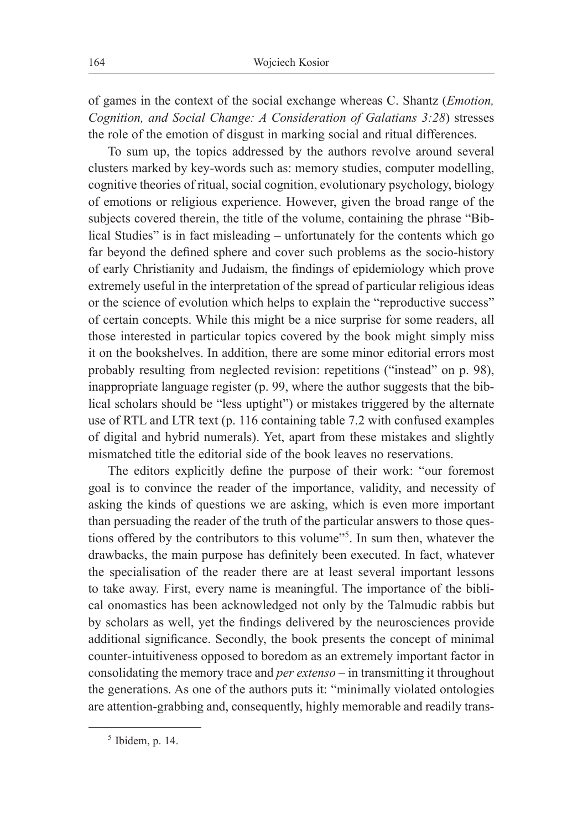of games in the context of the social exchange whereas C. Shantz (*Emotion, Cognition, and Social Change: A Consideration of Galatians 3:28*) stresses the role of the emotion of disgust in marking social and ritual differences.

To sum up, the topics addressed by the authors revolve around several clusters marked by key-words such as: memory studies, computer modelling, cognitive theories of ritual, social cognition, evolutionary psychology, biology of emotions or religious experience. However, given the broad range of the subjects covered therein, the title of the volume, containing the phrase "Biblical Studies" is in fact misleading – unfortunately for the contents which go far beyond the defined sphere and cover such problems as the socio-history of early Christianity and Judaism, the findings of epidemiology which prove extremely useful in the interpretation of the spread of particular religious ideas or the science of evolution which helps to explain the "reproductive success" of certain concepts. While this might be a nice surprise for some readers, all those interested in particular topics covered by the book might simply miss it on the bookshelves. In addition, there are some minor editorial errors most probably resulting from neglected revision: repetitions ("instead" on p. 98), inappropriate language register (p. 99, where the author suggests that the biblical scholars should be "less uptight") or mistakes triggered by the alternate use of RTL and LTR text (p. 116 containing table 7.2 with confused examples of digital and hybrid numerals). Yet, apart from these mistakes and slightly mismatched title the editorial side of the book leaves no reservations.

The editors explicitly define the purpose of their work: "our foremost goal is to convince the reader of the importance, validity, and necessity of asking the kinds of questions we are asking, which is even more important than persuading the reader of the truth of the particular answers to those questions offered by the contributors to this volume"5 . In sum then, whatever the drawbacks, the main purpose has definitely been executed. In fact, whatever the specialisation of the reader there are at least several important lessons to take away. First, every name is meaningful. The importance of the biblical onomastics has been acknowledged not only by the Talmudic rabbis but by scholars as well, yet the findings delivered by the neurosciences provide additional significance. Secondly, the book presents the concept of minimal counter-intuitiveness opposed to boredom as an extremely important factor in consolidating the memory trace and *per extenso* – in transmitting it throughout the generations. As one of the authors puts it: "minimally violated ontologies are attention-grabbing and, consequently, highly memorable and readily trans-

 $<sup>5</sup>$  Ibidem, p. 14.</sup>